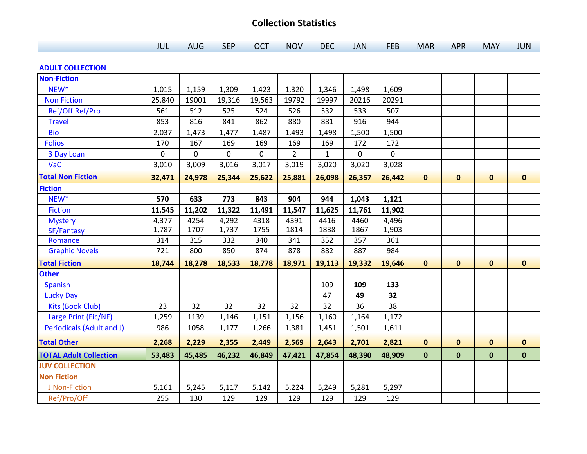## **Collection Statistics**

|  |  | <b>AUG</b> | <b>SEP</b><br>$\mathcal{L}(\mathcal{L})$ and $\mathcal{L}(\mathcal{L})$ and $\mathcal{L}(\mathcal{L})$ and $\mathcal{L}(\mathcal{L})$ and $\mathcal{L}(\mathcal{L})$ | <b>OCT</b><br>$\mathcal{L}^{\text{max}}_{\text{max}}$ and $\mathcal{L}^{\text{max}}_{\text{max}}$ and $\mathcal{L}^{\text{max}}_{\text{max}}$ and $\mathcal{L}^{\text{max}}_{\text{max}}$ | <b>NOV</b><br>______ | DEC <sub>1</sub> | <b>JAN</b> | <b>FEB</b> | <b>MAR</b> | <b>APR</b> | <b>MAY</b> | <b>JUN</b> |
|--|--|------------|----------------------------------------------------------------------------------------------------------------------------------------------------------------------|-------------------------------------------------------------------------------------------------------------------------------------------------------------------------------------------|----------------------|------------------|------------|------------|------------|------------|------------|------------|
|--|--|------------|----------------------------------------------------------------------------------------------------------------------------------------------------------------------|-------------------------------------------------------------------------------------------------------------------------------------------------------------------------------------------|----------------------|------------------|------------|------------|------------|------------|------------|------------|

## **ADULT COLLECTION**

| <b>Non-Fiction</b>            |        |        |        |             |                |        |        |        |              |              |              |              |
|-------------------------------|--------|--------|--------|-------------|----------------|--------|--------|--------|--------------|--------------|--------------|--------------|
| NEW <sup>*</sup>              | 1,015  | 1,159  | 1,309  | 1,423       | 1,320          | 1,346  | 1,498  | 1,609  |              |              |              |              |
| <b>Non Fiction</b>            | 25,840 | 19001  | 19,316 | 19,563      | 19792          | 19997  | 20216  | 20291  |              |              |              |              |
| Ref/Off.Ref/Pro               | 561    | 512    | 525    | 524         | 526            | 532    | 533    | 507    |              |              |              |              |
| <b>Travel</b>                 | 853    | 816    | 841    | 862         | 880            | 881    | 916    | 944    |              |              |              |              |
| <b>Bio</b>                    | 2,037  | 1,473  | 1,477  | 1,487       | 1,493          | 1,498  | 1,500  | 1,500  |              |              |              |              |
| <b>Folios</b>                 | 170    | 167    | 169    | 169         | 169            | 169    | 172    | 172    |              |              |              |              |
| 3 Day Loan                    | 0      | 0      | 0      | $\mathbf 0$ | $\overline{2}$ | 1      | 0      | 0      |              |              |              |              |
| VaC                           | 3,010  | 3,009  | 3,016  | 3,017       | 3,019          | 3,020  | 3,020  | 3,028  |              |              |              |              |
| <b>Total Non Fiction</b>      | 32,471 | 24,978 | 25,344 | 25,622      | 25,881         | 26,098 | 26,357 | 26,442 | $\mathbf 0$  | $\mathbf 0$  | $\mathbf 0$  | $\mathbf{0}$ |
| <b>Fiction</b>                |        |        |        |             |                |        |        |        |              |              |              |              |
| NEW <sup>*</sup>              | 570    | 633    | 773    | 843         | 904            | 944    | 1,043  | 1,121  |              |              |              |              |
| <b>Fiction</b>                | 11,545 | 11,202 | 11,322 | 11,491      | 11,547         | 11,625 | 11,761 | 11,902 |              |              |              |              |
| <b>Mystery</b>                | 4,377  | 4254   | 4,292  | 4318        | 4391           | 4416   | 4460   | 4,496  |              |              |              |              |
| SF/Fantasy                    | 1,787  | 1707   | 1,737  | 1755        | 1814           | 1838   | 1867   | 1,903  |              |              |              |              |
| Romance                       | 314    | 315    | 332    | 340         | 341            | 352    | 357    | 361    |              |              |              |              |
| <b>Graphic Novels</b>         | 721    | 800    | 850    | 874         | 878            | 882    | 887    | 984    |              |              |              |              |
| <b>Total Fiction</b>          | 18,744 | 18,278 | 18,533 | 18,778      | 18,971         | 19,113 | 19,332 | 19,646 | $\mathbf{0}$ | $\mathbf{0}$ | $\mathbf{0}$ | $\mathbf{0}$ |
| <b>Other</b>                  |        |        |        |             |                |        |        |        |              |              |              |              |
| <b>Spanish</b>                |        |        |        |             |                | 109    | 109    | 133    |              |              |              |              |
| <b>Lucky Day</b>              |        |        |        |             |                | 47     | 49     | 32     |              |              |              |              |
| <b>Kits (Book Club)</b>       | 23     | 32     | 32     | 32          | 32             | 32     | 36     | 38     |              |              |              |              |
| Large Print (Fic/NF)          | 1,259  | 1139   | 1,146  | 1,151       | 1,156          | 1,160  | 1,164  | 1,172  |              |              |              |              |
| Periodicals (Adult and J)     | 986    | 1058   | 1,177  | 1,266       | 1,381          | 1,451  | 1,501  | 1,611  |              |              |              |              |
| <b>Total Other</b>            | 2,268  | 2,229  | 2,355  | 2,449       | 2,569          | 2,643  | 2,701  | 2,821  | $\mathbf 0$  | $\mathbf 0$  | $\mathbf{0}$ | $\mathbf 0$  |
| <b>TOTAL Adult Collection</b> | 53,483 | 45,485 | 46,232 | 46,849      | 47,421         | 47,854 | 48,390 | 48,909 | $\mathbf 0$  | $\mathbf 0$  | $\mathbf 0$  | $\mathbf 0$  |
| <b>JUV COLLECTION</b>         |        |        |        |             |                |        |        |        |              |              |              |              |
| <b>Non Fiction</b>            |        |        |        |             |                |        |        |        |              |              |              |              |
| J Non-Fiction                 | 5,161  | 5,245  | 5,117  | 5,142       | 5,224          | 5,249  | 5,281  | 5,297  |              |              |              |              |
| Ref/Pro/Off                   | 255    | 130    | 129    | 129         | 129            | 129    | 129    | 129    |              |              |              |              |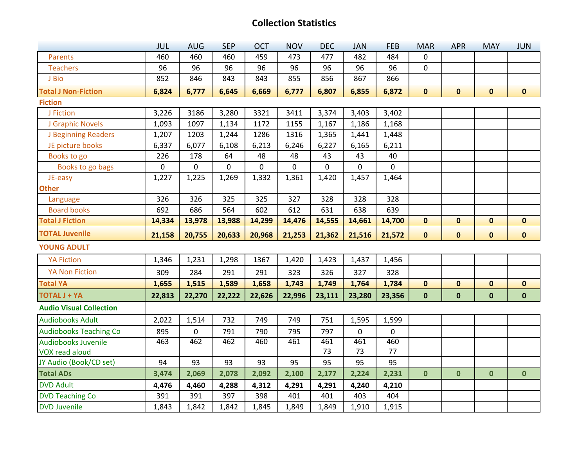## **Collection Statistics**

|                                | <b>JUL</b>          | <b>AUG</b>  | <b>SEP</b> | <b>OCT</b>  | <b>NOV</b> | <b>DEC</b>   | <b>JAN</b>  | <b>FEB</b>      | <b>MAR</b>   | <b>APR</b>  | <b>MAY</b>   | <b>JUN</b>   |
|--------------------------------|---------------------|-------------|------------|-------------|------------|--------------|-------------|-----------------|--------------|-------------|--------------|--------------|
| <b>Parents</b>                 | 460                 | 460         | 460        | 459         | 473        | 477          | 482         | 484             | 0            |             |              |              |
| <b>Teachers</b>                | 96                  | 96          | 96         | 96          | 96         | 96           | 96          | 96              | 0            |             |              |              |
| J Bio                          | 852                 | 846         | 843        | 843         | 855        | 856          | 867         | 866             |              |             |              |              |
| <b>Total J Non-Fiction</b>     | 6,824               | 6,777       | 6,645      | 6,669       | 6,777      | 6,807        | 6,855       | 6,872           | $\mathbf 0$  | $\mathbf 0$ | $\mathbf 0$  | $\mathbf 0$  |
| <b>Fiction</b>                 |                     |             |            |             |            |              |             |                 |              |             |              |              |
| J Fiction                      | 3,226               | 3186        | 3,280      | 3321        | 3411       | 3,374        | 3,403       | 3,402           |              |             |              |              |
| J Graphic Novels               | 1,093               | 1097        | 1,134      | 1172        | 1155       | 1,167        | 1,186       | 1,168           |              |             |              |              |
| J Beginning Readers            | 1,207               | 1203        | 1,244      | 1286        | 1316       | 1,365        | 1,441       | 1,448           |              |             |              |              |
| JE picture books               | 6,337               | 6,077       | 6,108      | 6,213       | 6,246      | 6,227        | 6,165       | 6,211           |              |             |              |              |
| Books to go                    | 226                 | 178         | 64         | 48          | 48         | 43           | 43          | 40              |              |             |              |              |
| Books to go bags               | $\mathsf{O}\xspace$ | $\mathbf 0$ | 0          | $\mathbf 0$ | 0          | $\mathsf{O}$ | $\mathbf 0$ | $\mathbf 0$     |              |             |              |              |
| JE-easy                        | 1,227               | 1,225       | 1,269      | 1,332       | 1,361      | 1,420        | 1,457       | 1,464           |              |             |              |              |
| <b>Other</b>                   |                     |             |            |             |            |              |             |                 |              |             |              |              |
| Language                       | 326                 | 326         | 325        | 325         | 327        | 328          | 328         | 328             |              |             |              |              |
| <b>Board books</b>             | 692                 | 686         | 564        | 602         | 612        | 631          | 638         | 639             |              |             |              |              |
| <b>Total J Fiction</b>         | 14,334              | 13,978      | 13,988     | 14,299      | 14,476     | 14,555       | 14,661      | 14,700          | $\pmb{0}$    | $\mathbf 0$ | $\mathbf 0$  | $\mathbf 0$  |
|                                |                     |             |            |             |            |              |             |                 |              |             |              |              |
| <b>TOTAL Juvenile</b>          | 21,158              | 20,755      | 20,633     | 20,968      | 21,253     | 21,362       | 21,516      | 21,572          | $\mathbf{0}$ | $\mathbf 0$ | $\mathbf 0$  | $\mathbf 0$  |
| <b>YOUNG ADULT</b>             |                     |             |            |             |            |              |             |                 |              |             |              |              |
| <b>YA Fiction</b>              | 1,346               | 1,231       | 1,298      | 1367        | 1,420      | 1,423        | 1,437       | 1,456           |              |             |              |              |
| <b>YA Non Fiction</b>          | 309                 | 284         | 291        | 291         | 323        | 326          | 327         | 328             |              |             |              |              |
| <b>Total YA</b>                | 1,655               | 1,515       | 1,589      | 1,658       | 1,743      | 1,749        | 1,764       | 1,784           | $\mathbf 0$  | $\mathbf 0$ | $\mathbf 0$  | $\mathbf 0$  |
| <b>TOTAL J + YA</b>            | 22,813              | 22,270      | 22,222     | 22,626      | 22,996     | 23,111       | 23,280      | 23,356          | $\mathbf 0$  | $\mathbf 0$ | $\mathbf 0$  | $\mathbf 0$  |
| <b>Audio Visual Collection</b> |                     |             |            |             |            |              |             |                 |              |             |              |              |
| <b>Audiobooks Adult</b>        | 2,022               | 1,514       | 732        | 749         | 749        | 751          | 1,595       | 1,599           |              |             |              |              |
| <b>Audiobooks Teaching Co</b>  | 895                 | $\mathbf 0$ | 791        | 790         | 795        | 797          | $\mathbf 0$ | 0               |              |             |              |              |
| <b>Audiobooks Juvenile</b>     | 463                 | 462         | 462        | 460         | 461        | 461          | 461         | 460             |              |             |              |              |
| <b>VOX read aloud</b>          |                     |             |            |             |            | 73           | 73          | $\overline{77}$ |              |             |              |              |
| JY Audio (Book/CD set)         | 94                  | 93          | 93         | 93          | 95         | 95           | 95          | 95              |              |             |              |              |
| <b>Total ADs</b>               | 3,474               | 2,069       | 2,078      | 2,092       | 2,100      | 2,177        | 2,224       | 2,231           | $\mathbf{0}$ | $\mathbf 0$ | $\mathbf{0}$ | $\mathbf{0}$ |
| <b>DVD Adult</b>               | 4,476               | 4,460       | 4,288      | 4,312       | 4,291      | 4,291        | 4,240       | 4,210           |              |             |              |              |
| <b>DVD Teaching Co</b>         | 391                 | 391         | 397        | 398         | 401        | 401          | 403         | 404             |              |             |              |              |